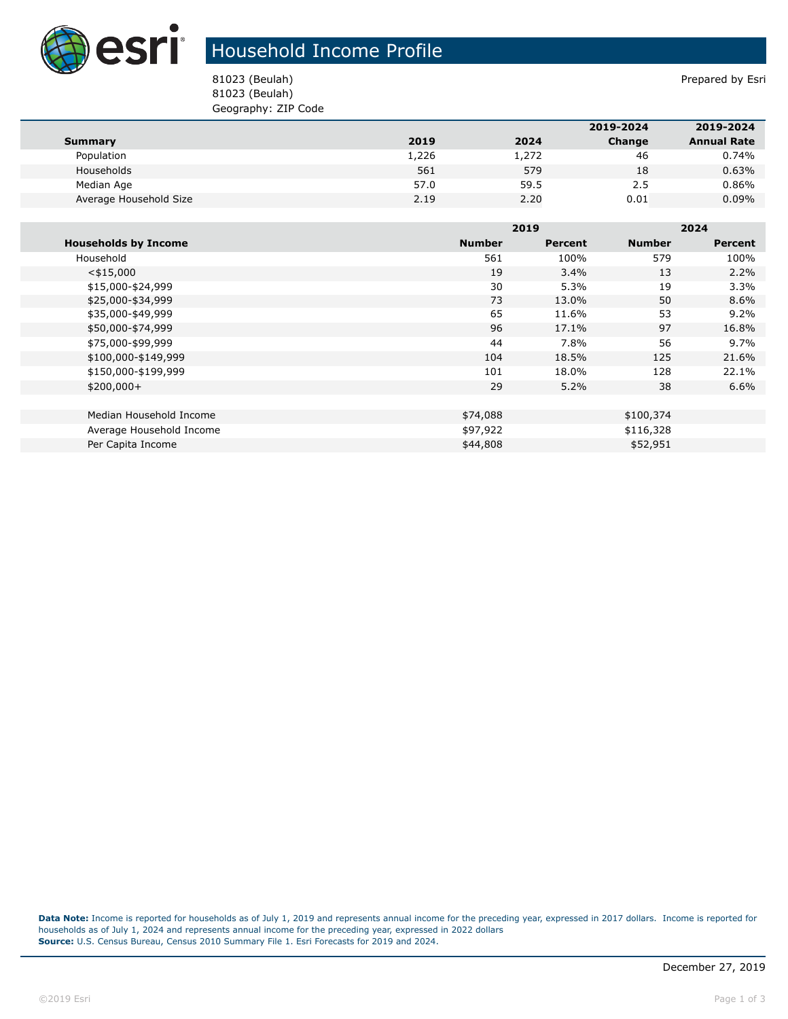

## Household Income Profile

81023 (Beulah) Prepared by Esri 81023 (Beulah) Geography: ZIP Code

|                        |       |       | 2019-2024 | 2019-2024          |
|------------------------|-------|-------|-----------|--------------------|
| Summary                | 2019  | 2024  | Change    | <b>Annual Rate</b> |
| Population             | 1,226 | 1,272 | 46        | 0.74%              |
| Households             | 561   | 579   | 18        | 0.63%              |
| Median Age             | 57.0  | 59.5  | 2.5       | 0.86%              |
| Average Household Size | 2.19  | 2.20  | 0.01      | $0.09\%$           |

|                             |               | 2019    |               | 2024    |  |
|-----------------------------|---------------|---------|---------------|---------|--|
| <b>Households by Income</b> | <b>Number</b> | Percent | <b>Number</b> | Percent |  |
| Household                   | 561           | 100%    | 579           | 100%    |  |
| $<$ \$15,000                | 19            | 3.4%    | 13            | 2.2%    |  |
| \$15,000-\$24,999           | 30            | 5.3%    | 19            | 3.3%    |  |
| \$25,000-\$34,999           | 73            | 13.0%   | 50            | 8.6%    |  |
| \$35,000-\$49,999           | 65            | 11.6%   | 53            | 9.2%    |  |
| \$50,000-\$74,999           | 96            | 17.1%   | 97            | 16.8%   |  |
| \$75,000-\$99,999           | 44            | 7.8%    | 56            | 9.7%    |  |
| \$100,000-\$149,999         | 104           | 18.5%   | 125           | 21.6%   |  |
| \$150,000-\$199,999         | 101           | 18.0%   | 128           | 22.1%   |  |
| $$200,000+$                 | 29            | 5.2%    | 38            | 6.6%    |  |
|                             |               |         |               |         |  |
| Median Household Income     | \$74,088      |         | \$100,374     |         |  |
| Average Household Income    | \$97,922      |         | \$116,328     |         |  |
| Per Capita Income           | \$44,808      |         | \$52,951      |         |  |

**Data Note:** Income is reported for households as of July 1, 2019 and represents annual income for the preceding year, expressed in 2017 dollars. Income is reported for households as of July 1, 2024 and represents annual income for the preceding year, expressed in 2022 dollars **Source:** U.S. Census Bureau, Census 2010 Summary File 1. Esri Forecasts for 2019 and 2024.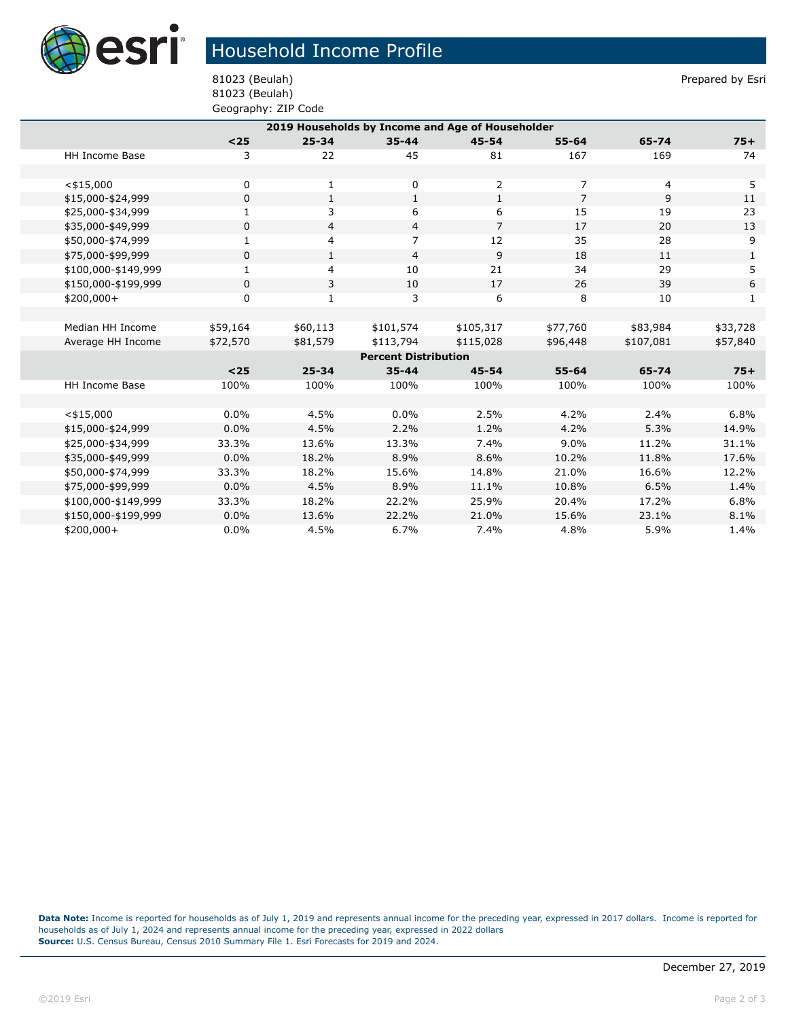

## Household Income Profile

81023 (Beulah) Geography: ZIP Code

81023 (Beulah) Prepared by Esri

| 2019 Households by Income and Age of Householder |              |              |                |                |                |           |              |  |  |
|--------------------------------------------------|--------------|--------------|----------------|----------------|----------------|-----------|--------------|--|--|
|                                                  | $<$ 25       | $25 - 34$    | $35 - 44$      | $45 - 54$      | $55 - 64$      | 65-74     | $75+$        |  |  |
| <b>HH Income Base</b>                            | 3            | 22           | 45             | 81             | 167            | 169       | 74           |  |  |
|                                                  |              |              |                |                |                |           |              |  |  |
| $<$ \$15,000                                     | 0            | 1            | 0              | $\overline{2}$ | 7              | 4         | 5            |  |  |
| \$15,000-\$24,999                                | $\mathbf 0$  | $\mathbf{1}$ | $\mathbf{1}$   | $\mathbf{1}$   | $\overline{7}$ | 9         | 11           |  |  |
| \$25,000-\$34,999                                | $\mathbf{1}$ | 3            | 6              | 6              | 15             | 19        | 23           |  |  |
| \$35,000-\$49,999                                | 0            | 4            | $\overline{4}$ | $\overline{7}$ | 17             | 20        | 13           |  |  |
| \$50,000-\$74,999                                | $\mathbf{1}$ | 4            | $\overline{7}$ | 12             | 35             | 28        | 9            |  |  |
| \$75,000-\$99,999                                | 0            | $\mathbf{1}$ | $\overline{4}$ | 9              | 18             | 11        | $\mathbf{1}$ |  |  |
| \$100,000-\$149,999                              | $\mathbf{1}$ | 4            | 10             | 21             | 34             | 29        | 5            |  |  |
| \$150,000-\$199,999                              | 0            | 3            | 10             | 17             | 26             | 39        | 6            |  |  |
| \$200,000+                                       | 0            | $\mathbf{1}$ | 3              | 6              | 8              | 10        | 1            |  |  |
|                                                  |              |              |                |                |                |           |              |  |  |
| Median HH Income                                 | \$59,164     | \$60,113     | \$101,574      | \$105,317      | \$77,760       | \$83,984  | \$33,728     |  |  |
| Average HH Income                                | \$72,570     | \$81,579     | \$113,794      | \$115,028      | \$96,448       | \$107,081 | \$57,840     |  |  |
| <b>Percent Distribution</b>                      |              |              |                |                |                |           |              |  |  |
|                                                  | $25$         | $25 - 34$    | $35 - 44$      | 45-54          | $55 - 64$      | 65-74     | $75+$        |  |  |
| HH Income Base                                   | 100%         | 100%         | 100%           | 100%           | 100%           | 100%      | 100%         |  |  |
|                                                  |              |              |                |                |                |           |              |  |  |
| $<$ \$15,000                                     | 0.0%         | 4.5%         | $0.0\%$        | 2.5%           | 4.2%           | 2.4%      | 6.8%         |  |  |
| \$15,000-\$24,999                                | 0.0%         | 4.5%         | 2.2%           | 1.2%           | 4.2%           | 5.3%      | 14.9%        |  |  |
| \$25,000-\$34,999                                | 33.3%        | 13.6%        | 13.3%          | 7.4%           | 9.0%           | 11.2%     | 31.1%        |  |  |
| \$35,000-\$49,999                                | 0.0%         | 18.2%        | 8.9%           | 8.6%           | 10.2%          | 11.8%     | 17.6%        |  |  |
| \$50,000-\$74,999                                | 33.3%        | 18.2%        | 15.6%          | 14.8%          | 21.0%          | 16.6%     | 12.2%        |  |  |
| \$75,000-\$99,999                                | 0.0%         | 4.5%         | 8.9%           | 11.1%          | 10.8%          | 6.5%      | 1.4%         |  |  |
| \$100,000-\$149,999                              | 33.3%        | 18.2%        | 22.2%          | 25.9%          | 20.4%          | 17.2%     | 6.8%         |  |  |
| \$150,000-\$199,999                              | 0.0%         | 13.6%        | 22.2%          | 21.0%          | 15.6%          | 23.1%     | 8.1%         |  |  |
| \$200,000+                                       | 0.0%         | 4.5%         | 6.7%           | 7.4%           | 4.8%           | 5.9%      | 1.4%         |  |  |

**Data Note:** Income is reported for households as of July 1, 2019 and represents annual income for the preceding year, expressed in 2017 dollars. Income is reported for households as of July 1, 2024 and represents annual income for the preceding year, expressed in 2022 dollars **Source:** U.S. Census Bureau, Census 2010 Summary File 1. Esri Forecasts for 2019 and 2024.